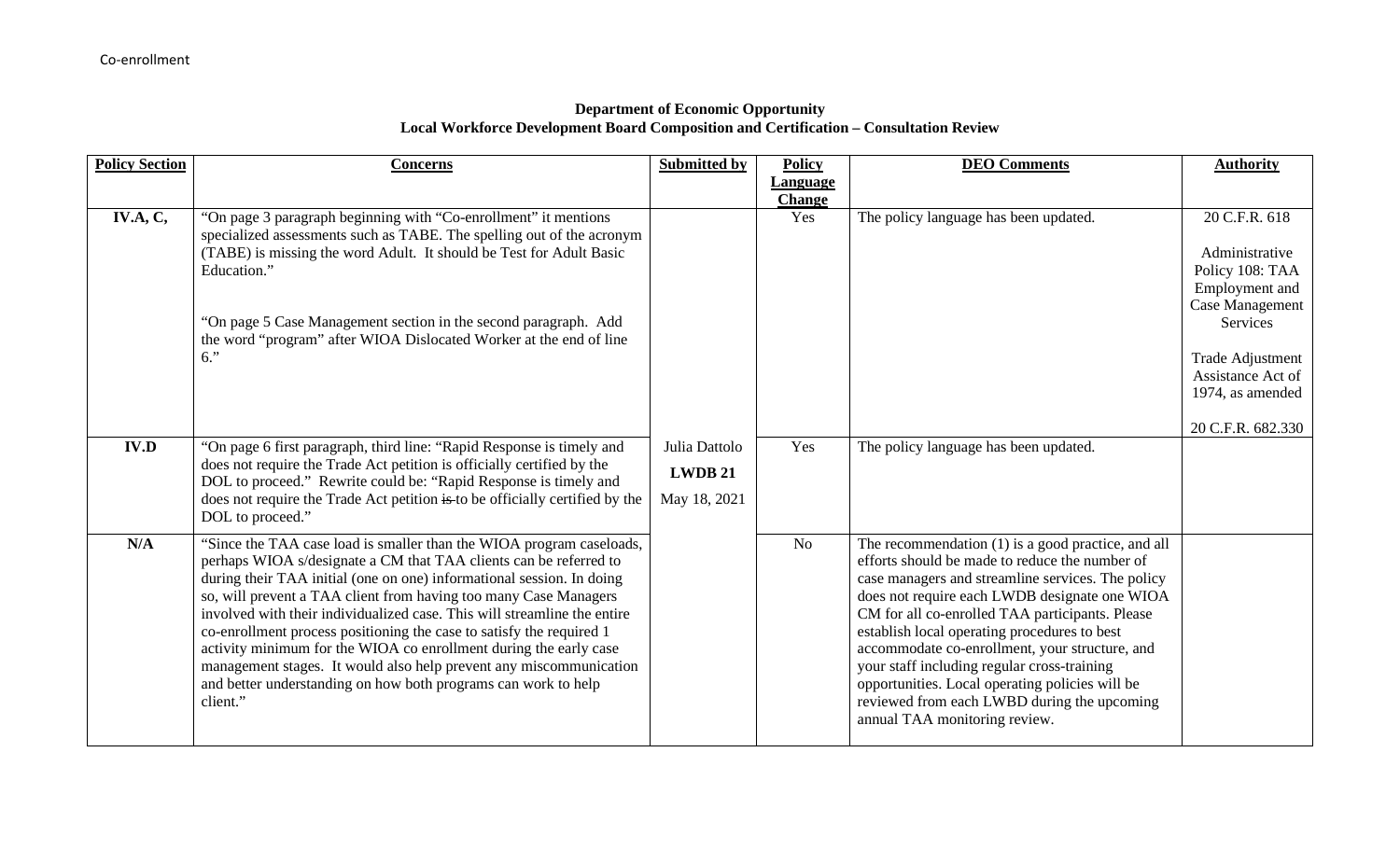## **Department of Economic Opportunity Local Workforce Development Board Composition and Certification – Consultation Review**

| <b>Policy Section</b> | <b>Concerns</b>                                                                                                                                                                                                                                                                                                                                                                                                                                                                                                                                                                                                                                                     | <b>Submitted by</b>                      | <b>Policy</b>        | <b>DEO Comments</b>                                                                                                                                                                                                                                                                                                                                                                                                                                                                                                                               | <b>Authority</b>                                                                                                                                                                      |
|-----------------------|---------------------------------------------------------------------------------------------------------------------------------------------------------------------------------------------------------------------------------------------------------------------------------------------------------------------------------------------------------------------------------------------------------------------------------------------------------------------------------------------------------------------------------------------------------------------------------------------------------------------------------------------------------------------|------------------------------------------|----------------------|---------------------------------------------------------------------------------------------------------------------------------------------------------------------------------------------------------------------------------------------------------------------------------------------------------------------------------------------------------------------------------------------------------------------------------------------------------------------------------------------------------------------------------------------------|---------------------------------------------------------------------------------------------------------------------------------------------------------------------------------------|
|                       |                                                                                                                                                                                                                                                                                                                                                                                                                                                                                                                                                                                                                                                                     |                                          | <b>Language</b>      |                                                                                                                                                                                                                                                                                                                                                                                                                                                                                                                                                   |                                                                                                                                                                                       |
| <b>IV.A, C,</b>       | "On page 3 paragraph beginning with "Co-enrollment" it mentions<br>specialized assessments such as TABE. The spelling out of the acronym<br>(TABE) is missing the word Adult. It should be Test for Adult Basic<br>Education."<br>"On page 5 Case Management section in the second paragraph. Add<br>the word "program" after WIOA Dislocated Worker at the end of line<br>$6.$ "                                                                                                                                                                                                                                                                                   |                                          | <b>Change</b><br>Yes | The policy language has been updated.                                                                                                                                                                                                                                                                                                                                                                                                                                                                                                             | 20 C.F.R. 618<br>Administrative<br>Policy 108: TAA<br>Employment and<br>Case Management<br>Services<br>Trade Adjustment<br>Assistance Act of<br>1974, as amended<br>20 C.F.R. 682.330 |
| <b>IV.D</b>           | "On page 6 first paragraph, third line: "Rapid Response is timely and<br>does not require the Trade Act petition is officially certified by the<br>DOL to proceed." Rewrite could be: "Rapid Response is timely and<br>does not require the Trade Act petition is to be officially certified by the<br>DOL to proceed."                                                                                                                                                                                                                                                                                                                                             | Julia Dattolo<br>LWDB 21<br>May 18, 2021 | Yes                  | The policy language has been updated.                                                                                                                                                                                                                                                                                                                                                                                                                                                                                                             |                                                                                                                                                                                       |
| N/A                   | "Since the TAA case load is smaller than the WIOA program caseloads,<br>perhaps WIOA s/designate a CM that TAA clients can be referred to<br>during their TAA initial (one on one) informational session. In doing<br>so, will prevent a TAA client from having too many Case Managers<br>involved with their individualized case. This will streamline the entire<br>co-enrollment process positioning the case to satisfy the required 1<br>activity minimum for the WIOA co enrollment during the early case<br>management stages. It would also help prevent any miscommunication<br>and better understanding on how both programs can work to help<br>client." |                                          | N <sub>o</sub>       | The recommendation (1) is a good practice, and all<br>efforts should be made to reduce the number of<br>case managers and streamline services. The policy<br>does not require each LWDB designate one WIOA<br>CM for all co-enrolled TAA participants. Please<br>establish local operating procedures to best<br>accommodate co-enrollment, your structure, and<br>your staff including regular cross-training<br>opportunities. Local operating policies will be<br>reviewed from each LWBD during the upcoming<br>annual TAA monitoring review. |                                                                                                                                                                                       |